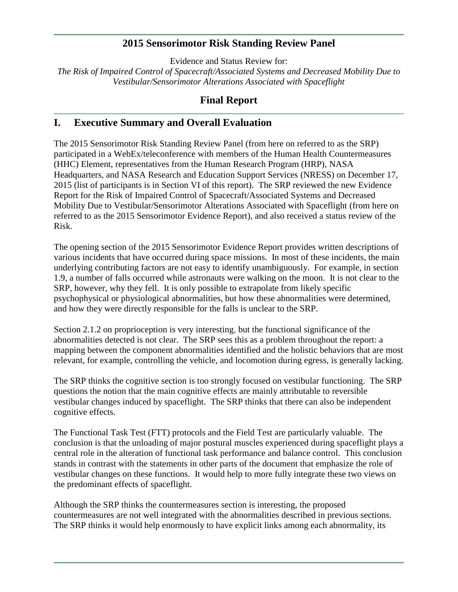## **2015 Sensorimotor Risk Standing Review Panel**

Evidence and Status Review for:

*The Risk of Impaired Control of Spacecraft/Associated Systems and Decreased Mobility Due to Vestibular/Sensorimotor Alterations Associated with Spaceflight*

## **Final Report**

## **I. Executive Summary and Overall Evaluation**

The 2015 Sensorimotor Risk Standing Review Panel (from here on referred to as the SRP) participated in a WebEx/teleconference with members of the Human Health Countermeasures (HHC) Element, representatives from the Human Research Program (HRP), NASA Headquarters, and NASA Research and Education Support Services (NRESS) on December 17, 2015 (list of participants is in Section VI of this report). The SRP reviewed the new Evidence Report for the Risk of Impaired Control of Spacecraft/Associated Systems and Decreased Mobility Due to Vestibular/Sensorimotor Alterations Associated with Spaceflight (from here on referred to as the 2015 Sensorimotor Evidence Report), and also received a status review of the Risk.

The opening section of the 2015 Sensorimotor Evidence Report provides written descriptions of various incidents that have occurred during space missions. In most of these incidents, the main underlying contributing factors are not easy to identify unambiguously. For example, in section 1.9, a number of falls occurred while astronauts were walking on the moon. It is not clear to the SRP, however, why they fell. It is only possible to extrapolate from likely specific psychophysical or physiological abnormalities, but how these abnormalities were determined, and how they were directly responsible for the falls is unclear to the SRP.

Section 2.1.2 on proprioception is very interesting, but the functional significance of the abnormalities detected is not clear. The SRP sees this as a problem throughout the report: a mapping between the component abnormalities identified and the holistic behaviors that are most relevant, for example, controlling the vehicle, and locomotion during egress, is generally lacking.

The SRP thinks the cognitive section is too strongly focused on vestibular functioning. The SRP questions the notion that the main cognitive effects are mainly attributable to reversible vestibular changes induced by spaceflight. The SRP thinks that there can also be independent cognitive effects.

The Functional Task Test (FTT) protocols and the Field Test are particularly valuable. The conclusion is that the unloading of major postural muscles experienced during spaceflight plays a central role in the alteration of functional task performance and balance control. This conclusion stands in contrast with the statements in other parts of the document that emphasize the role of vestibular changes on these functions. It would help to more fully integrate these two views on the predominant effects of spaceflight.

Although the SRP thinks the countermeasures section is interesting, the proposed countermeasures are not well integrated with the abnormalities described in previous sections. The SRP thinks it would help enormously to have explicit links among each abnormality, its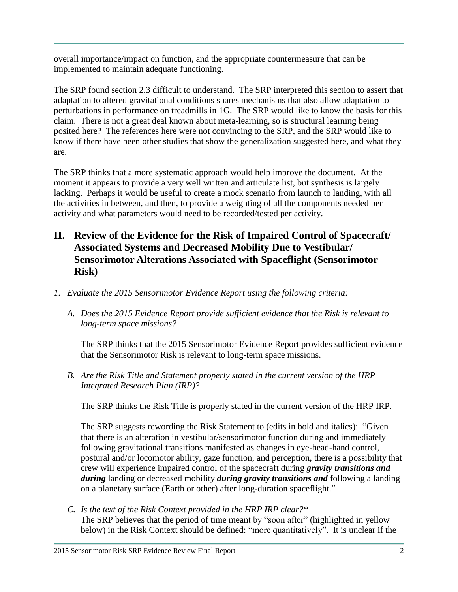overall importance/impact on function, and the appropriate countermeasure that can be implemented to maintain adequate functioning.

The SRP found section 2.3 difficult to understand. The SRP interpreted this section to assert that adaptation to altered gravitational conditions shares mechanisms that also allow adaptation to perturbations in performance on treadmills in 1G. The SRP would like to know the basis for this claim. There is not a great deal known about meta-learning, so is structural learning being posited here? The references here were not convincing to the SRP, and the SRP would like to know if there have been other studies that show the generalization suggested here, and what they are.

The SRP thinks that a more systematic approach would help improve the document. At the moment it appears to provide a very well written and articulate list, but synthesis is largely lacking. Perhaps it would be useful to create a mock scenario from launch to landing, with all the activities in between, and then, to provide a weighting of all the components needed per activity and what parameters would need to be recorded/tested per activity.

- **II. Review of the Evidence for the Risk of Impaired Control of Spacecraft/ Associated Systems and Decreased Mobility Due to Vestibular/ Sensorimotor Alterations Associated with Spaceflight (Sensorimotor Risk)**
- *1. Evaluate the 2015 Sensorimotor Evidence Report using the following criteria:*
	- *A. Does the 2015 Evidence Report provide sufficient evidence that the Risk is relevant to long-term space missions?*

The SRP thinks that the 2015 Sensorimotor Evidence Report provides sufficient evidence that the Sensorimotor Risk is relevant to long-term space missions.

*B. Are the Risk Title and Statement properly stated in the current version of the HRP Integrated Research Plan (IRP)?*

The SRP thinks the Risk Title is properly stated in the current version of the HRP IRP.

The SRP suggests rewording the Risk Statement to (edits in bold and italics): "Given that there is an alteration in vestibular/sensorimotor function during and immediately following gravitational transitions manifested as changes in eye-head-hand control, postural and/or locomotor ability, gaze function, and perception, there is a possibility that crew will experience impaired control of the spacecraft during *gravity transitions and during* landing or decreased mobility *during gravity transitions and* following a landing on a planetary surface (Earth or other) after long-duration spaceflight."

*C. Is the text of the Risk Context provided in the HRP IRP clear?\**  The SRP believes that the period of time meant by "soon after" (highlighted in yellow below) in the Risk Context should be defined: "more quantitatively". It is unclear if the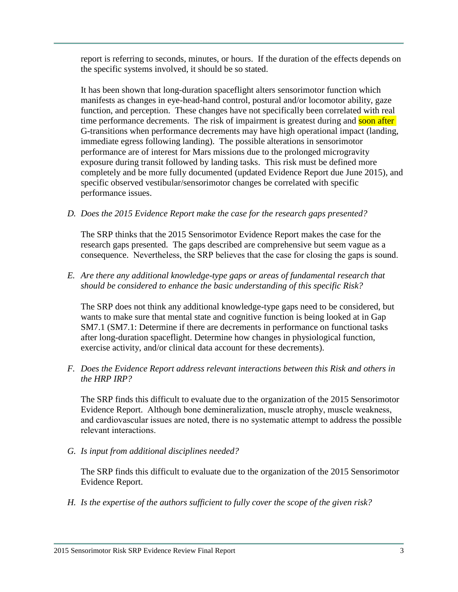report is referring to seconds, minutes, or hours. If the duration of the effects depends on the specific systems involved, it should be so stated.

It has been shown that long-duration spaceflight alters sensorimotor function which manifests as changes in eye-head-hand control, postural and/or locomotor ability, gaze function, and perception. These changes have not specifically been correlated with real time performance decrements. The risk of impairment is greatest during and soon after G-transitions when performance decrements may have high operational impact (landing, immediate egress following landing). The possible alterations in sensorimotor performance are of interest for Mars missions due to the prolonged microgravity exposure during transit followed by landing tasks. This risk must be defined more completely and be more fully documented (updated Evidence Report due June 2015), and specific observed vestibular/sensorimotor changes be correlated with specific performance issues.

*D. Does the 2015 Evidence Report make the case for the research gaps presented?*

The SRP thinks that the 2015 Sensorimotor Evidence Report makes the case for the research gaps presented. The gaps described are comprehensive but seem vague as a consequence. Nevertheless, the SRP believes that the case for closing the gaps is sound.

*E. Are there any additional knowledge-type gaps or areas of fundamental research that should be considered to enhance the basic understanding of this specific Risk?*

The SRP does not think any additional knowledge-type gaps need to be considered, but wants to make sure that mental state and cognitive function is being looked at in Gap SM7.1 (SM7.1: Determine if there are decrements in performance on functional tasks after long-duration spaceflight. Determine how changes in physiological function, exercise activity, and/or clinical data account for these decrements).

*F. Does the Evidence Report address relevant interactions between this Risk and others in the HRP IRP?*

The SRP finds this difficult to evaluate due to the organization of the 2015 Sensorimotor Evidence Report. Although bone demineralization, muscle atrophy, muscle weakness, and cardiovascular issues are noted, there is no systematic attempt to address the possible relevant interactions.

*G. Is input from additional disciplines needed?*

The SRP finds this difficult to evaluate due to the organization of the 2015 Sensorimotor Evidence Report.

*H. Is the expertise of the authors sufficient to fully cover the scope of the given risk?*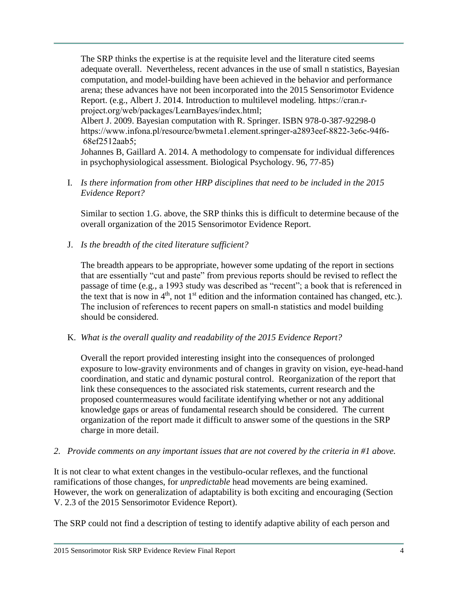The SRP thinks the expertise is at the requisite level and the literature cited seems adequate overall. Nevertheless, recent advances in the use of small n statistics, Bayesian computation, and model-building have been achieved in the behavior and performance arena; these advances have not been incorporated into the 2015 Sensorimotor Evidence Report. (e.g., Albert J. 2014. Introduction to multilevel modeling. https://cran.rproject.org/web/packages/LearnBayes/index.html;

Albert J. 2009. Bayesian computation with R. Springer. ISBN 978-0-387-92298-0 https://www.infona.pl/resource/bwmeta1.element.springer-a2893eef-8822-3e6c-94f6- 68ef2512aab5;

Johannes B, Gaillard A. 2014. A methodology to compensate for individual differences in psychophysiological assessment. Biological Psychology. 96, 77-85)

I. *Is there information from other HRP disciplines that need to be included in the 2015 Evidence Report?*

Similar to section 1.G. above, the SRP thinks this is difficult to determine because of the overall organization of the 2015 Sensorimotor Evidence Report.

J. *Is the breadth of the cited literature sufficient?*

The breadth appears to be appropriate, however some updating of the report in sections that are essentially "cut and paste" from previous reports should be revised to reflect the passage of time (e.g., a 1993 study was described as "recent"; a book that is referenced in the text that is now in  $4<sup>th</sup>$ , not  $1<sup>st</sup>$  edition and the information contained has changed, etc.). The inclusion of references to recent papers on small-n statistics and model building should be considered.

K. *What is the overall quality and readability of the 2015 Evidence Report?*

Overall the report provided interesting insight into the consequences of prolonged exposure to low-gravity environments and of changes in gravity on vision, eye-head-hand coordination, and static and dynamic postural control. Reorganization of the report that link these consequences to the associated risk statements, current research and the proposed countermeasures would facilitate identifying whether or not any additional knowledge gaps or areas of fundamental research should be considered. The current organization of the report made it difficult to answer some of the questions in the SRP charge in more detail.

*2. Provide comments on any important issues that are not covered by the criteria in #1 above.*

It is not clear to what extent changes in the vestibulo-ocular reflexes, and the functional ramifications of those changes, for *unpredictable* head movements are being examined. However, the work on generalization of adaptability is both exciting and encouraging (Section V. 2.3 of the 2015 Sensorimotor Evidence Report).

The SRP could not find a description of testing to identify adaptive ability of each person and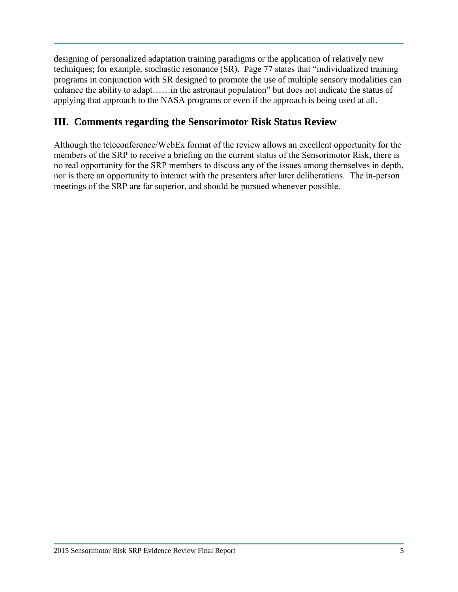designing of personalized adaptation training paradigms or the application of relatively new techniques; for example, stochastic resonance (SR). Page 77 states that "individualized training programs in conjunction with SR designed to promote the use of multiple sensory modalities can enhance the ability to adapt……in the astronaut population" but does not indicate the status of applying that approach to the NASA programs or even if the approach is being used at all.

# **III. Comments regarding the Sensorimotor Risk Status Review**

Although the teleconference/WebEx format of the review allows an excellent opportunity for the members of the SRP to receive a briefing on the current status of the Sensorimotor Risk, there is no real opportunity for the SRP members to discuss any of the issues among themselves in depth, nor is there an opportunity to interact with the presenters after later deliberations. The in-person meetings of the SRP are far superior, and should be pursued whenever possible.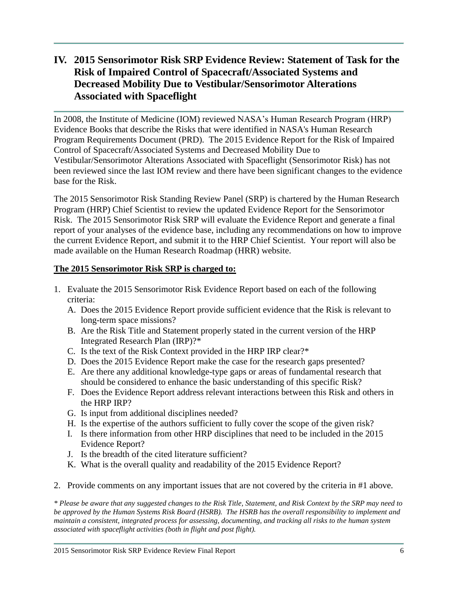# **IV. 2015 Sensorimotor Risk SRP Evidence Review: Statement of Task for the Risk of Impaired Control of Spacecraft/Associated Systems and Decreased Mobility Due to Vestibular/Sensorimotor Alterations Associated with Spaceflight**

In 2008, the Institute of Medicine (IOM) reviewed NASA's Human Research Program (HRP) Evidence Books that describe the Risks that were identified in NASA's Human Research Program Requirements Document (PRD). The 2015 Evidence Report for the Risk of Impaired Control of Spacecraft/Associated Systems and Decreased Mobility Due to Vestibular/Sensorimotor Alterations Associated with Spaceflight (Sensorimotor Risk) has not been reviewed since the last IOM review and there have been significant changes to the evidence base for the Risk.

The 2015 Sensorimotor Risk Standing Review Panel (SRP) is chartered by the Human Research Program (HRP) Chief Scientist to review the updated Evidence Report for the Sensorimotor Risk. The 2015 Sensorimotor Risk SRP will evaluate the Evidence Report and generate a final report of your analyses of the evidence base, including any recommendations on how to improve the current Evidence Report, and submit it to the HRP Chief Scientist. Your report will also be made available on the Human Research Roadmap (HRR) website.

### **The 2015 Sensorimotor Risk SRP is charged to:**

- 1. Evaluate the 2015 Sensorimotor Risk Evidence Report based on each of the following criteria:
	- A. Does the 2015 Evidence Report provide sufficient evidence that the Risk is relevant to long-term space missions?
	- B. Are the Risk Title and Statement properly stated in the current version of the HRP Integrated Research Plan (IRP)?\*
	- C. Is the text of the Risk Context provided in the HRP IRP clear?\*
	- D. Does the 2015 Evidence Report make the case for the research gaps presented?
	- E. Are there any additional knowledge-type gaps or areas of fundamental research that should be considered to enhance the basic understanding of this specific Risk?
	- F. Does the Evidence Report address relevant interactions between this Risk and others in the HRP IRP?
	- G. Is input from additional disciplines needed?
	- H. Is the expertise of the authors sufficient to fully cover the scope of the given risk?
	- I. Is there information from other HRP disciplines that need to be included in the 2015 Evidence Report?
	- J. Is the breadth of the cited literature sufficient?
	- K. What is the overall quality and readability of the 2015 Evidence Report?
- 2. Provide comments on any important issues that are not covered by the criteria in #1 above.

*\* Please be aware that any suggested changes to the Risk Title, Statement, and Risk Context by the SRP may need to be approved by the Human Systems Risk Board (HSRB). The HSRB has the overall responsibility to implement and maintain a consistent, integrated process for assessing, documenting, and tracking all risks to the human system associated with spaceflight activities (both in flight and post flight).*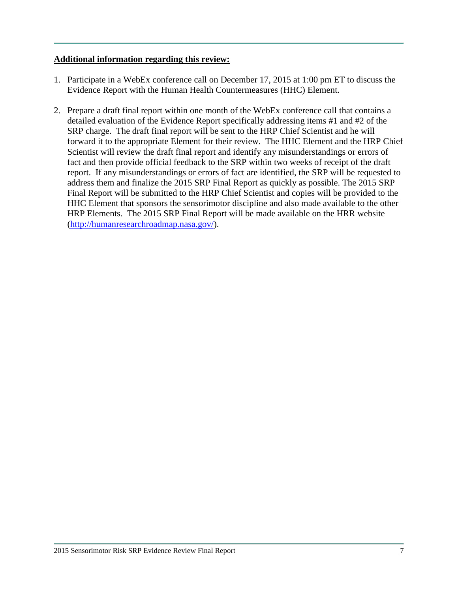### **Additional information regarding this review:**

- 1. Participate in a WebEx conference call on December 17, 2015 at 1:00 pm ET to discuss the Evidence Report with the Human Health Countermeasures (HHC) Element.
- 2. Prepare a draft final report within one month of the WebEx conference call that contains a detailed evaluation of the Evidence Report specifically addressing items #1 and #2 of the SRP charge. The draft final report will be sent to the HRP Chief Scientist and he will forward it to the appropriate Element for their review. The HHC Element and the HRP Chief Scientist will review the draft final report and identify any misunderstandings or errors of fact and then provide official feedback to the SRP within two weeks of receipt of the draft report. If any misunderstandings or errors of fact are identified, the SRP will be requested to address them and finalize the 2015 SRP Final Report as quickly as possible. The 2015 SRP Final Report will be submitted to the HRP Chief Scientist and copies will be provided to the HHC Element that sponsors the sensorimotor discipline and also made available to the other HRP Elements. The 2015 SRP Final Report will be made available on the HRR website [\(http://humanresearchroadmap.nasa.gov/\)](http://humanresearchroadmap.nasa.gov/).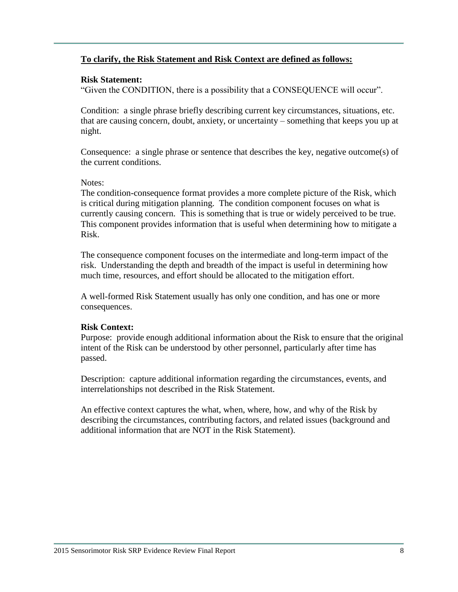### **To clarify, the Risk Statement and Risk Context are defined as follows:**

### **Risk Statement:**

"Given the CONDITION, there is a possibility that a CONSEQUENCE will occur".

Condition: a single phrase briefly describing current key circumstances, situations, etc. that are causing concern, doubt, anxiety, or uncertainty – something that keeps you up at night.

Consequence: a single phrase or sentence that describes the key, negative outcome(s) of the current conditions.

### Notes:

The condition-consequence format provides a more complete picture of the Risk, which is critical during mitigation planning. The condition component focuses on what is currently causing concern. This is something that is true or widely perceived to be true. This component provides information that is useful when determining how to mitigate a Risk.

The consequence component focuses on the intermediate and long-term impact of the risk. Understanding the depth and breadth of the impact is useful in determining how much time, resources, and effort should be allocated to the mitigation effort.

A well-formed Risk Statement usually has only one condition, and has one or more consequences.

### **Risk Context:**

Purpose: provide enough additional information about the Risk to ensure that the original intent of the Risk can be understood by other personnel, particularly after time has passed.

Description: capture additional information regarding the circumstances, events, and interrelationships not described in the Risk Statement.

An effective context captures the what, when, where, how, and why of the Risk by describing the circumstances, contributing factors, and related issues (background and additional information that are NOT in the Risk Statement).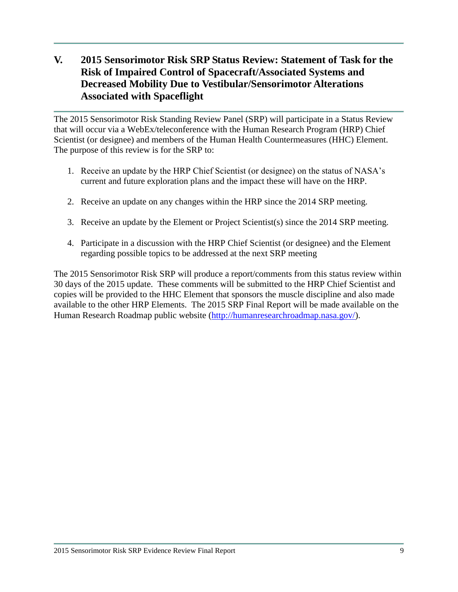# **V. 2015 Sensorimotor Risk SRP Status Review: Statement of Task for the Risk of Impaired Control of Spacecraft/Associated Systems and Decreased Mobility Due to Vestibular/Sensorimotor Alterations Associated with Spaceflight**

The 2015 Sensorimotor Risk Standing Review Panel (SRP) will participate in a Status Review that will occur via a WebEx/teleconference with the Human Research Program (HRP) Chief Scientist (or designee) and members of the Human Health Countermeasures (HHC) Element. The purpose of this review is for the SRP to:

- 1. Receive an update by the HRP Chief Scientist (or designee) on the status of NASA's current and future exploration plans and the impact these will have on the HRP.
- 2. Receive an update on any changes within the HRP since the 2014 SRP meeting.
- 3. Receive an update by the Element or Project Scientist(s) since the 2014 SRP meeting.
- 4. Participate in a discussion with the HRP Chief Scientist (or designee) and the Element regarding possible topics to be addressed at the next SRP meeting

The 2015 Sensorimotor Risk SRP will produce a report/comments from this status review within 30 days of the 2015 update. These comments will be submitted to the HRP Chief Scientist and copies will be provided to the HHC Element that sponsors the muscle discipline and also made available to the other HRP Elements. The 2015 SRP Final Report will be made available on the Human Research Roadmap public website [\(http://humanresearchroadmap.nasa.gov/\)](http://humanresearchroadmap.nasa.gov/).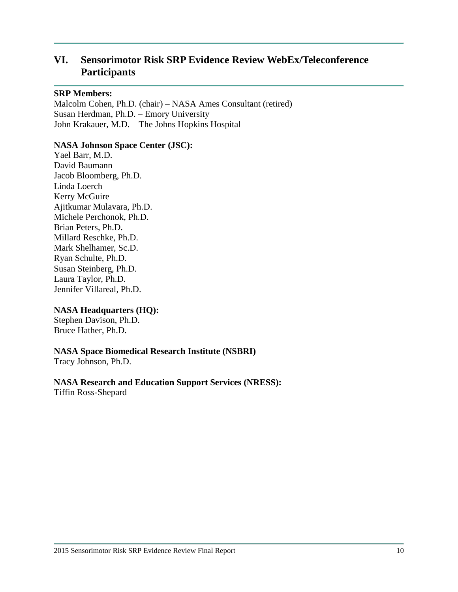# **VI. Sensorimotor Risk SRP Evidence Review WebEx/Teleconference Participants**

#### **SRP Members:**

Malcolm Cohen, Ph.D. (chair) – NASA Ames Consultant (retired) Susan Herdman, Ph.D. – Emory University John Krakauer, M.D. – The Johns Hopkins Hospital

### **NASA Johnson Space Center (JSC):**

Yael Barr, M.D. David Baumann Jacob Bloomberg, Ph.D. Linda Loerch Kerry McGuire Ajitkumar Mulavara, Ph.D. Michele Perchonok, Ph.D. Brian Peters, Ph.D. Millard Reschke, Ph.D. Mark Shelhamer, Sc.D. Ryan Schulte, Ph.D. Susan Steinberg, Ph.D. Laura Taylor, Ph.D. Jennifer Villareal, Ph.D.

### **NASA Headquarters (HQ):**

Stephen Davison, Ph.D. Bruce Hather, Ph.D.

### **NASA Space Biomedical Research Institute (NSBRI)**

Tracy Johnson, Ph.D.

# **NASA Research and Education Support Services (NRESS):**

Tiffin Ross-Shepard